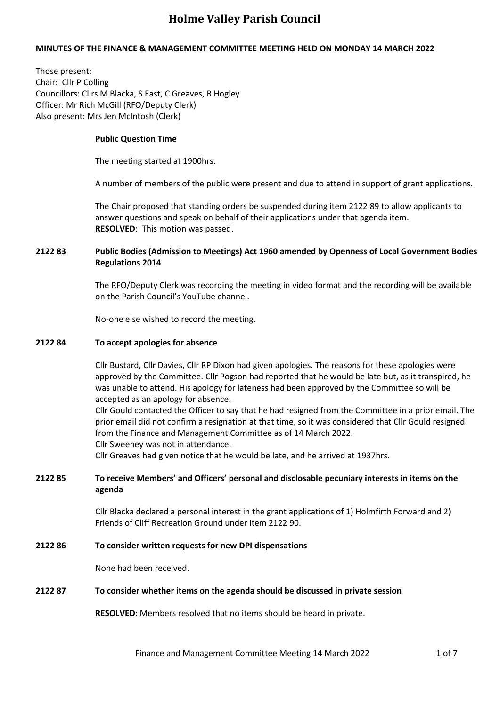## **MINUTES OF THE FINANCE & MANAGEMENT COMMITTEE MEETING HELD ON MONDAY 14 MARCH 2022**

Those present: Chair: Cllr P Colling Councillors: Cllrs M Blacka, S East, C Greaves, R Hogley Officer: Mr Rich McGill (RFO/Deputy Clerk) Also present: Mrs Jen McIntosh (Clerk)

### **Public Question Time**

The meeting started at 1900hrs.

A number of members of the public were present and due to attend in support of grant applications.

The Chair proposed that standing orders be suspended during item 2122 89 to allow applicants to answer questions and speak on behalf of their applications under that agenda item. **RESOLVED**: This motion was passed.

### **2122 83 Public Bodies (Admission to Meetings) Act 1960 amended by Openness of Local Government Bodies Regulations 2014**

The RFO/Deputy Clerk was recording the meeting in video format and the recording will be available on the Parish Council's YouTube channel.

No-one else wished to record the meeting.

#### **2122 84 To accept apologies for absence**

Cllr Bustard, Cllr Davies, Cllr RP Dixon had given apologies. The reasons for these apologies were approved by the Committee. Cllr Pogson had reported that he would be late but, as it transpired, he was unable to attend. His apology for lateness had been approved by the Committee so will be accepted as an apology for absence.

Cllr Gould contacted the Officer to say that he had resigned from the Committee in a prior email. The prior email did not confirm a resignation at that time, so it was considered that Cllr Gould resigned from the Finance and Management Committee as of 14 March 2022.

Cllr Sweeney was not in attendance.

Cllr Greaves had given notice that he would be late, and he arrived at 1937hrs.

### **2122 85 To receive Members' and Officers' personal and disclosable pecuniary interests in items on the agenda**

Cllr Blacka declared a personal interest in the grant applications of 1) Holmfirth Forward and 2) Friends of Cliff Recreation Ground under item 2122 90.

### **2122 86 To consider written requests for new DPI dispensations**

None had been received.

#### **2122 87 To consider whether items on the agenda should be discussed in private session**

**RESOLVED**: Members resolved that no items should be heard in private.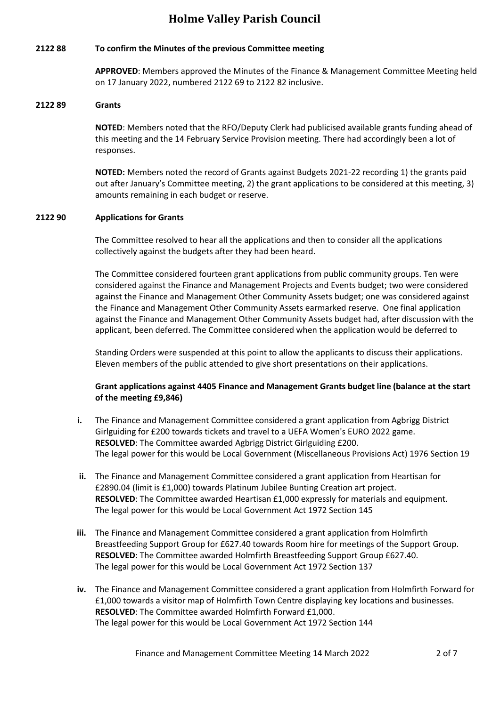## **2122 88 To confirm the Minutes of the previous Committee meeting**

**APPROVED**: Members approved the Minutes of the Finance & Management Committee Meeting held on 17 January 2022, numbered 2122 69 to 2122 82 inclusive.

## **2122 89 Grants**

**NOTED**: Members noted that the RFO/Deputy Clerk had publicised available grants funding ahead of this meeting and the 14 February Service Provision meeting. There had accordingly been a lot of responses.

**NOTED:** Members noted the record of Grants against Budgets 2021-22 recording 1) the grants paid out after January's Committee meeting, 2) the grant applications to be considered at this meeting, 3) amounts remaining in each budget or reserve.

### **2122 90 Applications for Grants**

The Committee resolved to hear all the applications and then to consider all the applications collectively against the budgets after they had been heard.

The Committee considered fourteen grant applications from public community groups. Ten were considered against the Finance and Management Projects and Events budget; two were considered against the Finance and Management Other Community Assets budget; one was considered against the Finance and Management Other Community Assets earmarked reserve. One final application against the Finance and Management Other Community Assets budget had, after discussion with the applicant, been deferred. The Committee considered when the application would be deferred to

Standing Orders were suspended at this point to allow the applicants to discuss their applications. Eleven members of the public attended to give short presentations on their applications.

## **Grant applications against 4405 Finance and Management Grants budget line (balance at the start of the meeting £9,846)**

- **i.** The Finance and Management Committee considered a grant application from Agbrigg District Girlguiding for £200 towards tickets and travel to a UEFA Women's EURO 2022 game. **RESOLVED**: The Committee awarded Agbrigg District Girlguiding £200. The legal power for this would be Local Government (Miscellaneous Provisions Act) 1976 Section 19
- **ii.** The Finance and Management Committee considered a grant application from Heartisan for £2890.04 (limit is £1,000) towards Platinum Jubilee Bunting Creation art project. **RESOLVED**: The Committee awarded Heartisan £1,000 expressly for materials and equipment. The legal power for this would be Local Government Act 1972 Section 145
- **iii.** The Finance and Management Committee considered a grant application from Holmfirth Breastfeeding Support Group for £627.40 towards Room hire for meetings of the Support Group. **RESOLVED**: The Committee awarded Holmfirth Breastfeeding Support Group £627.40. The legal power for this would be Local Government Act 1972 Section 137
- **iv.** The Finance and Management Committee considered a grant application from Holmfirth Forward for £1,000 towards a visitor map of Holmfirth Town Centre displaying key locations and businesses. **RESOLVED**: The Committee awarded Holmfirth Forward £1,000. The legal power for this would be Local Government Act 1972 Section 144

Finance and Management Committee Meeting 14 March 2022 2017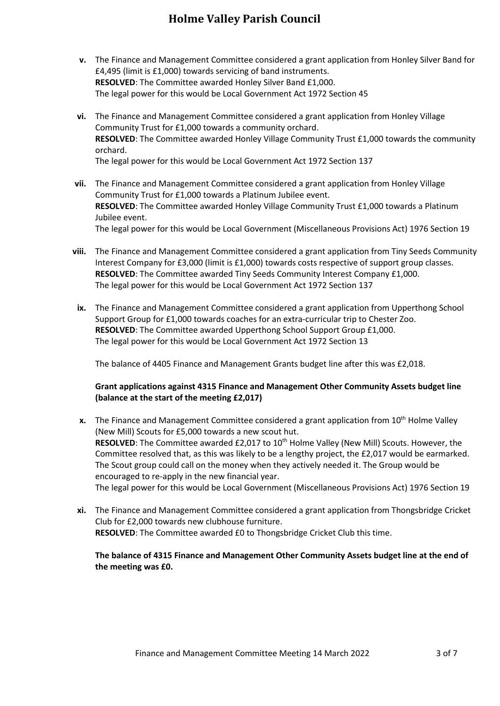- **v.** The Finance and Management Committee considered a grant application from Honley Silver Band for £4,495 (limit is £1,000) towards servicing of band instruments. **RESOLVED**: The Committee awarded Honley Silver Band £1,000. The legal power for this would be Local Government Act 1972 Section 45
- **vi.** The Finance and Management Committee considered a grant application from Honley Village Community Trust for £1,000 towards a community orchard. **RESOLVED**: The Committee awarded Honley Village Community Trust £1,000 towards the community orchard. The legal power for this would be Local Government Act 1972 Section 137
- **vii.** The Finance and Management Committee considered a grant application from Honley Village Community Trust for £1,000 towards a Platinum Jubilee event. **RESOLVED**: The Committee awarded Honley Village Community Trust £1,000 towards a Platinum Jubilee event. The legal power for this would be Local Government (Miscellaneous Provisions Act) 1976 Section 19
- **viii.** The Finance and Management Committee considered a grant application from Tiny Seeds Community Interest Company for £3,000 (limit is £1,000) towards costs respective of support group classes. **RESOLVED**: The Committee awarded Tiny Seeds Community Interest Company £1,000. The legal power for this would be Local Government Act 1972 Section 137
- **ix.** The Finance and Management Committee considered a grant application from Upperthong School Support Group for £1,000 towards coaches for an extra-curricular trip to Chester Zoo. **RESOLVED**: The Committee awarded Upperthong School Support Group £1,000. The legal power for this would be Local Government Act 1972 Section 13

The balance of 4405 Finance and Management Grants budget line after this was £2,018.

## **Grant applications against 4315 Finance and Management Other Community Assets budget line (balance at the start of the meeting £2,017)**

- **x.** The Finance and Management Committee considered a grant application from 10<sup>th</sup> Holme Valley (New Mill) Scouts for £5,000 towards a new scout hut. **RESOLVED**: The Committee awarded £2,017 to 10<sup>th</sup> Holme Valley (New Mill) Scouts. However, the Committee resolved that, as this was likely to be a lengthy project, the £2,017 would be earmarked. The Scout group could call on the money when they actively needed it. The Group would be encouraged to re-apply in the new financial year. The legal power for this would be Local Government (Miscellaneous Provisions Act) 1976 Section 19
- **xi.** The Finance and Management Committee considered a grant application from Thongsbridge Cricket Club for £2,000 towards new clubhouse furniture. **RESOLVED**: The Committee awarded £0 to Thongsbridge Cricket Club this time.

## **The balance of 4315 Finance and Management Other Community Assets budget line at the end of the meeting was £0.**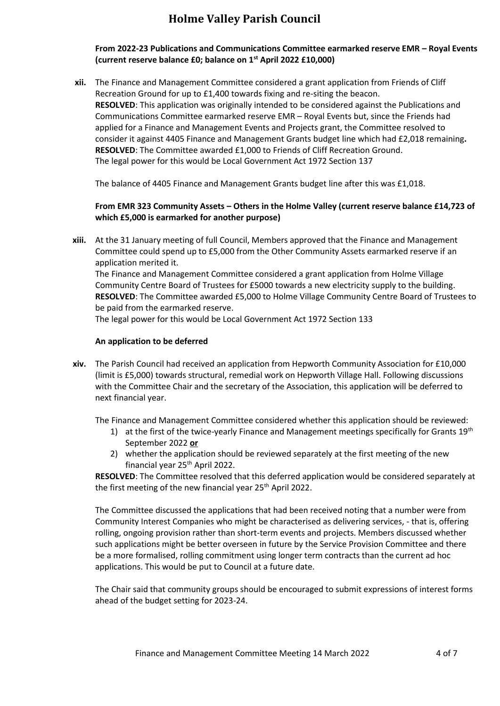## **From 2022-23 Publications and Communications Committee earmarked reserve EMR – Royal Events (current reserve balance £0; balance on 1st April 2022 £10,000)**

**xii.** The Finance and Management Committee considered a grant application from Friends of Cliff Recreation Ground for up to £1,400 towards fixing and re-siting the beacon. **RESOLVED**: This application was originally intended to be considered against the Publications and Communications Committee earmarked reserve EMR – Royal Events but, since the Friends had applied for a Finance and Management Events and Projects grant, the Committee resolved to consider it against 4405 Finance and Management Grants budget line which had £2,018 remaining**. RESOLVED**: The Committee awarded £1,000 to Friends of Cliff Recreation Ground. The legal power for this would be Local Government Act 1972 Section 137

The balance of 4405 Finance and Management Grants budget line after this was £1,018.

## **From EMR 323 Community Assets – Others in the Holme Valley (current reserve balance £14,723 of which £5,000 is earmarked for another purpose)**

**xiii.** At the 31 January meeting of full Council, Members approved that the Finance and Management Committee could spend up to £5,000 from the Other Community Assets earmarked reserve if an application merited it.

The Finance and Management Committee considered a grant application from Holme Village Community Centre Board of Trustees for £5000 towards a new electricity supply to the building. **RESOLVED**: The Committee awarded £5,000 to Holme Village Community Centre Board of Trustees to be paid from the earmarked reserve.

The legal power for this would be Local Government Act 1972 Section 133

### **An application to be deferred**

**xiv.** The Parish Council had received an application from Hepworth Community Association for £10,000 (limit is £5,000) towards structural, remedial work on Hepworth Village Hall. Following discussions with the Committee Chair and the secretary of the Association, this application will be deferred to next financial year.

The Finance and Management Committee considered whether this application should be reviewed:

- 1) at the first of the twice-yearly Finance and Management meetings specifically for Grants 19<sup>th</sup> September 2022 **or**
- 2) whether the application should be reviewed separately at the first meeting of the new financial year 25<sup>th</sup> April 2022.

**RESOLVED**: The Committee resolved that this deferred application would be considered separately at the first meeting of the new financial year 25<sup>th</sup> April 2022.

The Committee discussed the applications that had been received noting that a number were from Community Interest Companies who might be characterised as delivering services, - that is, offering rolling, ongoing provision rather than short-term events and projects. Members discussed whether such applications might be better overseen in future by the Service Provision Committee and there be a more formalised, rolling commitment using longer term contracts than the current ad hoc applications. This would be put to Council at a future date.

The Chair said that community groups should be encouraged to submit expressions of interest forms ahead of the budget setting for 2023-24.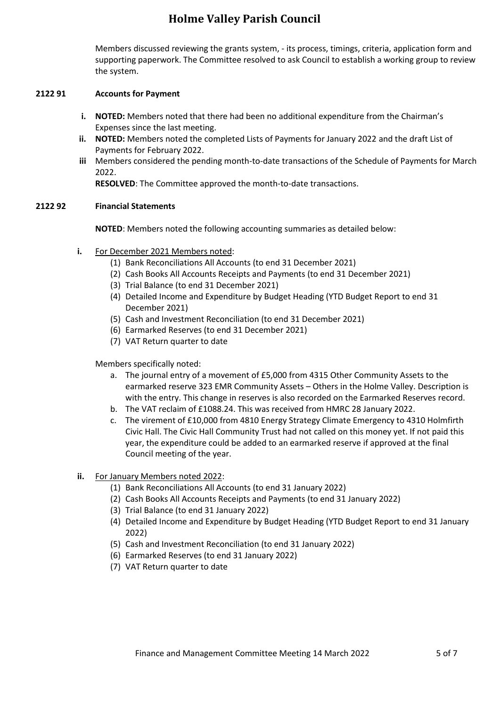Members discussed reviewing the grants system, - its process, timings, criteria, application form and supporting paperwork. The Committee resolved to ask Council to establish a working group to review the system.

#### **2122 91 Accounts for Payment**

- **i. NOTED:** Members noted that there had been no additional expenditure from the Chairman's Expenses since the last meeting.
- **ii. NOTED:** Members noted the completed Lists of Payments for January 2022 and the draft List of Payments for February 2022.
- **iii** Members considered the pending month-to-date transactions of the Schedule of Payments for March 2022.

**RESOLVED**: The Committee approved the month-to-date transactions.

### **2122 92 Financial Statements**

**NOTED**: Members noted the following accounting summaries as detailed below:

- **i.** For December 2021 Members noted:
	- (1) Bank Reconciliations All Accounts (to end 31 December 2021)
	- (2) Cash Books All Accounts Receipts and Payments (to end 31 December 2021)
	- (3) Trial Balance (to end 31 December 2021)
	- (4) Detailed Income and Expenditure by Budget Heading (YTD Budget Report to end 31 December 2021)
	- (5) Cash and Investment Reconciliation (to end 31 December 2021)
	- (6) Earmarked Reserves (to end 31 December 2021)
	- (7) VAT Return quarter to date

Members specifically noted:

- a. The journal entry of a movement of £5,000 from 4315 Other Community Assets to the earmarked reserve 323 EMR Community Assets – Others in the Holme Valley. Description is with the entry. This change in reserves is also recorded on the Earmarked Reserves record.
- b. The VAT reclaim of £1088.24. This was received from HMRC 28 January 2022.
- c. The virement of £10,000 from 4810 Energy Strategy Climate Emergency to 4310 Holmfirth Civic Hall. The Civic Hall Community Trust had not called on this money yet. If not paid this year, the expenditure could be added to an earmarked reserve if approved at the final Council meeting of the year.
- **ii.** For January Members noted 2022:
	- (1) Bank Reconciliations All Accounts (to end 31 January 2022)
	- (2) Cash Books All Accounts Receipts and Payments (to end 31 January 2022)
	- (3) Trial Balance (to end 31 January 2022)
	- (4) Detailed Income and Expenditure by Budget Heading (YTD Budget Report to end 31 January 2022)
	- (5) Cash and Investment Reconciliation (to end 31 January 2022)
	- (6) Earmarked Reserves (to end 31 January 2022)
	- (7) VAT Return quarter to date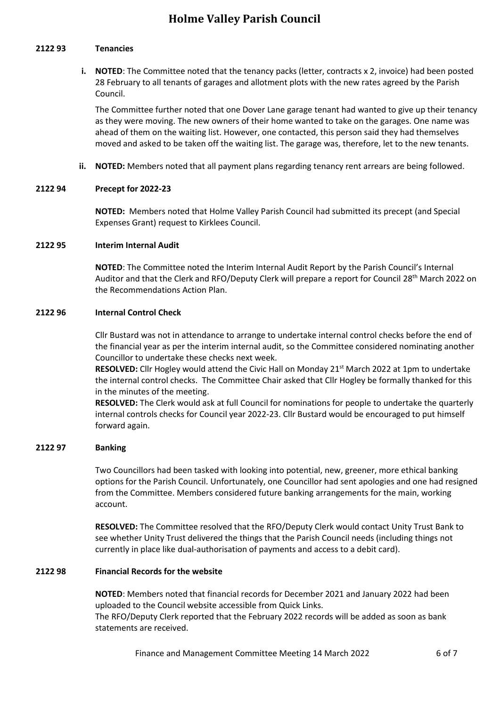#### **2122 93 Tenancies**

**i. NOTED**: The Committee noted that the tenancy packs (letter, contracts x 2, invoice) had been posted 28 February to all tenants of garages and allotment plots with the new rates agreed by the Parish Council.

The Committee further noted that one Dover Lane garage tenant had wanted to give up their tenancy as they were moving. The new owners of their home wanted to take on the garages. One name was ahead of them on the waiting list. However, one contacted, this person said they had themselves moved and asked to be taken off the waiting list. The garage was, therefore, let to the new tenants.

**ii. NOTED:** Members noted that all payment plans regarding tenancy rent arrears are being followed.

### **2122 94 Precept for 2022-23**

**NOTED:** Members noted that Holme Valley Parish Council had submitted its precept (and Special Expenses Grant) request to Kirklees Council.

#### **2122 95 Interim Internal Audit**

**NOTED**: The Committee noted the Interim Internal Audit Report by the Parish Council's Internal Auditor and that the Clerk and RFO/Deputy Clerk will prepare a report for Council 28<sup>th</sup> March 2022 on the Recommendations Action Plan.

#### **2122 96 Internal Control Check**

Cllr Bustard was not in attendance to arrange to undertake internal control checks before the end of the financial year as per the interim internal audit, so the Committee considered nominating another Councillor to undertake these checks next week.

**RESOLVED:** Cllr Hogley would attend the Civic Hall on Monday 21<sup>st</sup> March 2022 at 1pm to undertake the internal control checks. The Committee Chair asked that Cllr Hogley be formally thanked for this in the minutes of the meeting.

**RESOLVED:** The Clerk would ask at full Council for nominations for people to undertake the quarterly internal controls checks for Council year 2022-23. Cllr Bustard would be encouraged to put himself forward again.

### **2122 97 Banking**

Two Councillors had been tasked with looking into potential, new, greener, more ethical banking options for the Parish Council. Unfortunately, one Councillor had sent apologies and one had resigned from the Committee. Members considered future banking arrangements for the main, working account.

**RESOLVED:** The Committee resolved that the RFO/Deputy Clerk would contact Unity Trust Bank to see whether Unity Trust delivered the things that the Parish Council needs (including things not currently in place like dual-authorisation of payments and access to a debit card).

### **2122 98 Financial Records for the website**

**NOTED**: Members noted that [financial records for December 2021 and January 2022](https://www.holmevalleyparishcouncil.gov.uk/2021-22_40056.aspx) had been uploaded to the Council website accessible from Quick Links. The RFO/Deputy Clerk reported that the February 2022 records will be added as soon as bank statements are received.